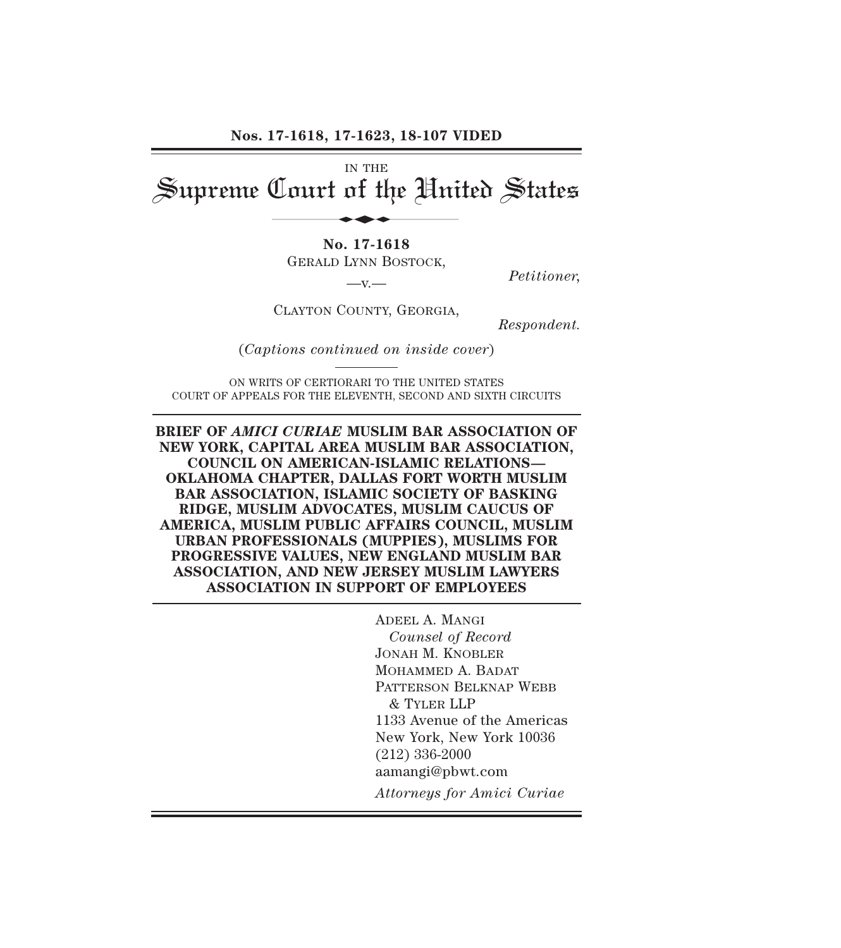**Nos. 17-1618, 17-1623, 18-107 VIDED**

IN THE Supreme Court of the United States d

> **No. 17-1618** GERALD LYNN BOSTOCK,

*Petitioner,* —v.—

CLAYTON COUNTY, GEORGIA,

*Respondent.*

(*Captions continued on inside cover*)

ON WRITS OF CERTIORARI TO THE UNITED STATES COURT OF APPEALS FOR THE ELEVENTH, SECOND AND SIXTH CIRCUITS

**BRIEF OF** *AMICI CURIAE* **MUSLIM BAR ASSOCIATION OF NEW YORK, CAPITAL AREA MUSLIM BAR ASSOCIATION, COUNCIL ON AMERICAN-ISLAMIC RELATIONS— OKLAHOMA CHAPTER, DALLAS FORT WORTH MUSLIM BAR ASSOCIATION, ISLAMIC SOCIETY OF BASKING RIDGE, MUSLIM ADVOCATES, MUSLIM CAUCUS OF AMERICA, MUSLIM PUBLIC AFFAIRS COUNCIL, MUSLIM URBAN PROFESSIONALS (MUPPIES), MUSLIMS FOR PROGRESSIVE VALUES, NEW ENGLAND MUSLIM BAR ASSOCIATION, AND NEW JERSEY MUSLIM LAWYERS ASSOCIATION IN SUPPORT OF EMPLOYEES**

> ADEEL A. MANGI *Counsel of Record* JONAH M. KNOBLER MOHAMMED A. BADAT PATTERSON BELKNAP WEBB & TYLER LLP 1133 Avenue of the Americas New York, New York 10036 (212) 336-2000 aamangi@pbwt.com *Attorneys for Amici Curiae*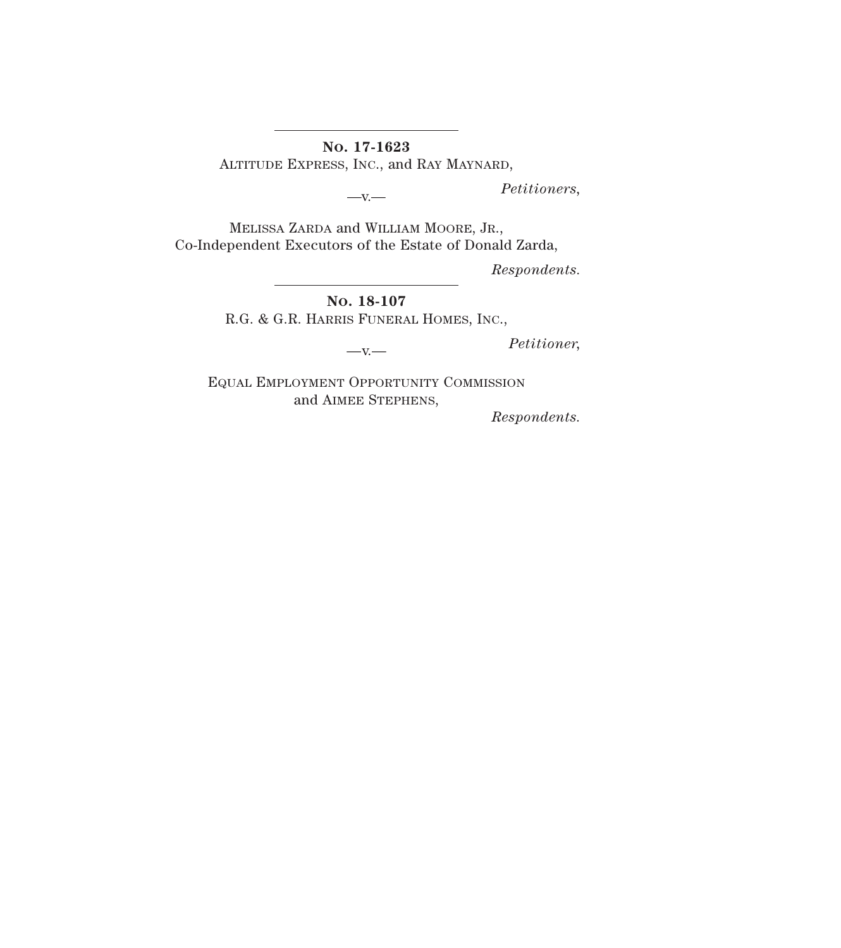**NO. 17-1623**

ALTITUDE EXPRESS, INC., and RAY MAYNARD,

*Petitioners,* —v.—

MELISSA ZARDA and WILLIAM MOORE, JR., Co-Independent Executors of the Estate of Donald Zarda,

*Respondents.*

**NO. 18-107** R.G. & G.R. HARRIS FUNERAL HOMES, INC.,

*Petitioner,* —v.—

EQUAL EMPLOYMENT OPPORTUNITY COMMISSION and AIMEE STEPHENS,

*Respondents.*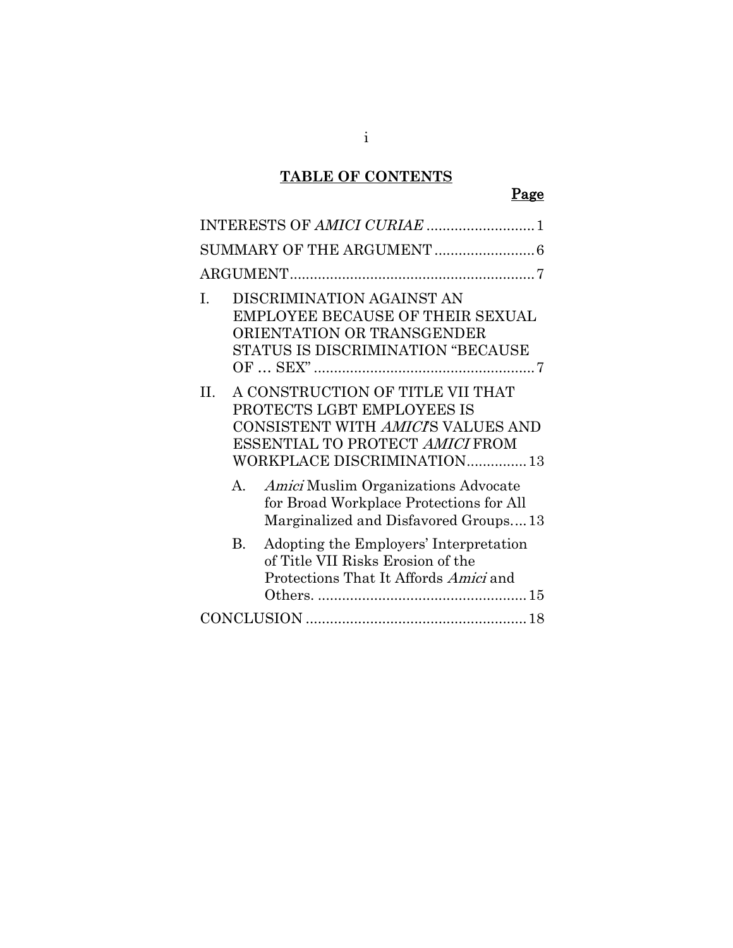# **TABLE OF CONTENTS**

# Page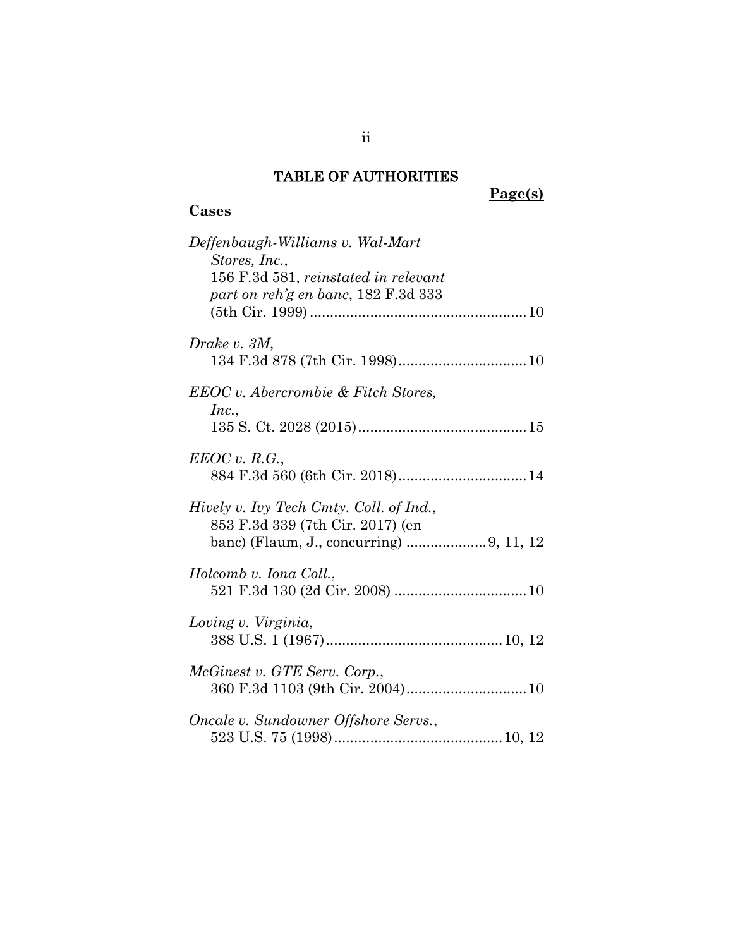#### TABLE OF AUTHORITIES

**Cases**

#### **Page(s)**

# *Deffenbaugh-Williams v. Wal-Mart Stores, Inc.*, 156 F.3d 581, *reinstated in relevant part on reh'g en banc*, 182 F.3d 333 (5th Cir. 1999)......................................................10 *Drake v. 3M*, 134 F.3d 878 (7th Cir. 1998)................................10 *EEOC v. Abercrombie & Fitch Stores, Inc.*, 135 S. Ct. 2028 (2015)..........................................15 *EEOC v. R.G.*, 884 F.3d 560 (6th Cir. 2018)................................14 *Hively v. Ivy Tech Cmty. Coll. of Ind.*, 853 F.3d 339 (7th Cir. 2017) (en banc) (Flaum, J., concurring) ....................9, 11, 12 *Holcomb v. Iona Coll.*, 521 F.3d 130 (2d Cir. 2008) .................................10 *Loving v. Virginia*, 388 U.S. 1 (1967)............................................10, 12 *McGinest v. GTE Serv. Corp.*, 360 F.3d 1103 (9th Cir. 2004)..............................10 *Oncale v. Sundowner Offshore Servs.*, 523 U.S. 75 (1998)..........................................10, 12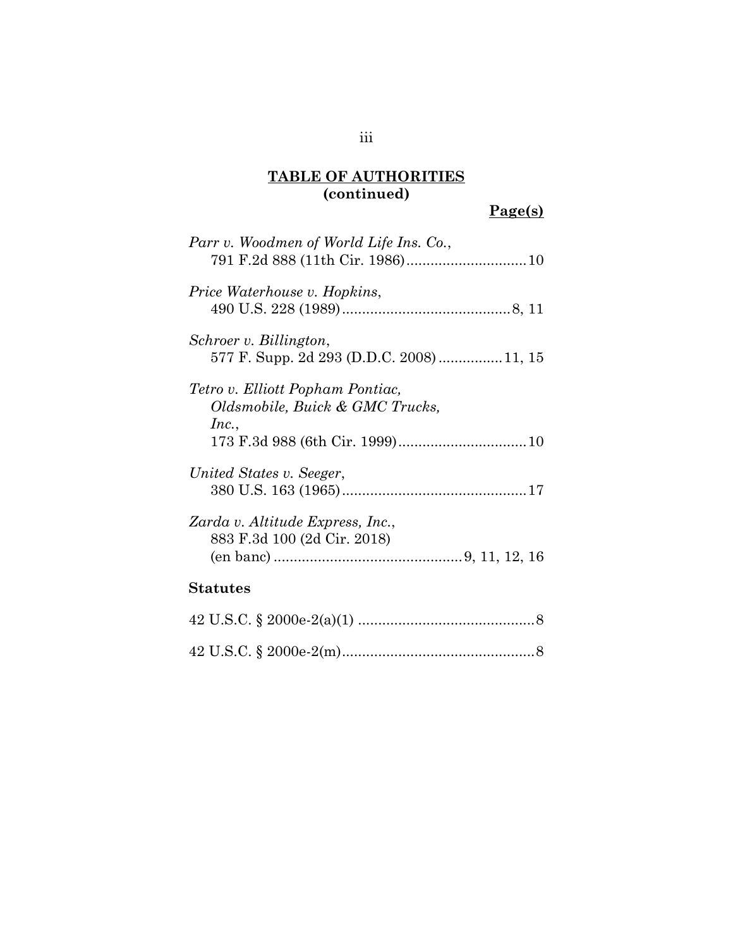#### **TABLE OF AUTHORITIES (continued)**

## **Page(s)**

| Parr v. Woodmen of World Life Ins. Co.,                                      |
|------------------------------------------------------------------------------|
| Price Waterhouse v. Hopkins,                                                 |
| Schroer v. Billington,<br>577 F. Supp. 2d 293 (D.D.C. 2008)11, 15            |
| Tetro v. Elliott Popham Pontiac,<br>Oldsmobile, Buick & GMC Trucks,<br>Inc., |
| United States v. Seeger,                                                     |
| Zarda v. Altitude Express, Inc.,<br>883 F.3d 100 (2d Cir. 2018)              |
| <b>Statutes</b>                                                              |
|                                                                              |
|                                                                              |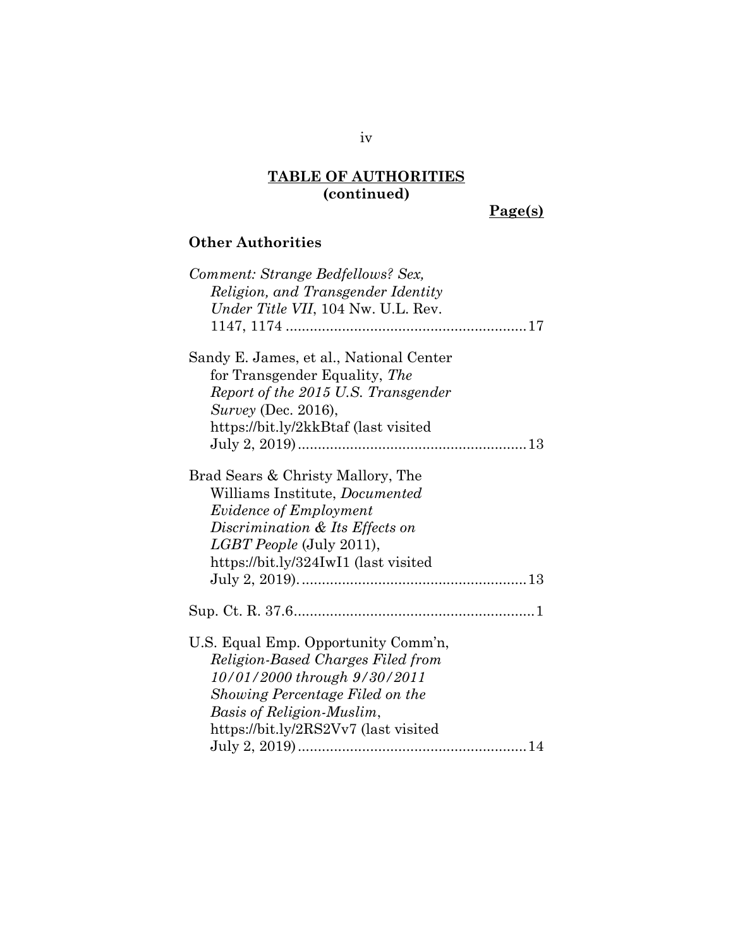## **TABLE OF AUTHORITIES (continued)**

# **Page(s)**

# **Other Authorities**

| Comment: Strange Bedfellows? Sex,       |
|-----------------------------------------|
| Religion, and Transgender Identity      |
| Under Title VII, 104 Nw. U.L. Rev.      |
|                                         |
| Sandy E. James, et al., National Center |
| for Transgender Equality, The           |
| Report of the 2015 U.S. Transgender     |
| <i>Survey</i> (Dec. 2016),              |
| https://bit.ly/2kkBtaf (last visited    |
|                                         |
| Brad Sears & Christy Mallory, The       |
| Williams Institute, <i>Documented</i>   |
| <i>Evidence of Employment</i>           |
| Discrimination & Its Effects on         |
| <i>LGBT People</i> (July 2011),         |
| https://bit.ly/324IwI1 (last visited    |
|                                         |
|                                         |
| U.S. Equal Emp. Opportunity Comm'n,     |
| Religion-Based Charges Filed from       |
| 10/01/2000 through 9/30/2011            |
| Showing Percentage Filed on the         |
| Basis of Religion-Muslim,               |
| https://bit.ly/2RS2Vv7 (last visited    |
|                                         |
|                                         |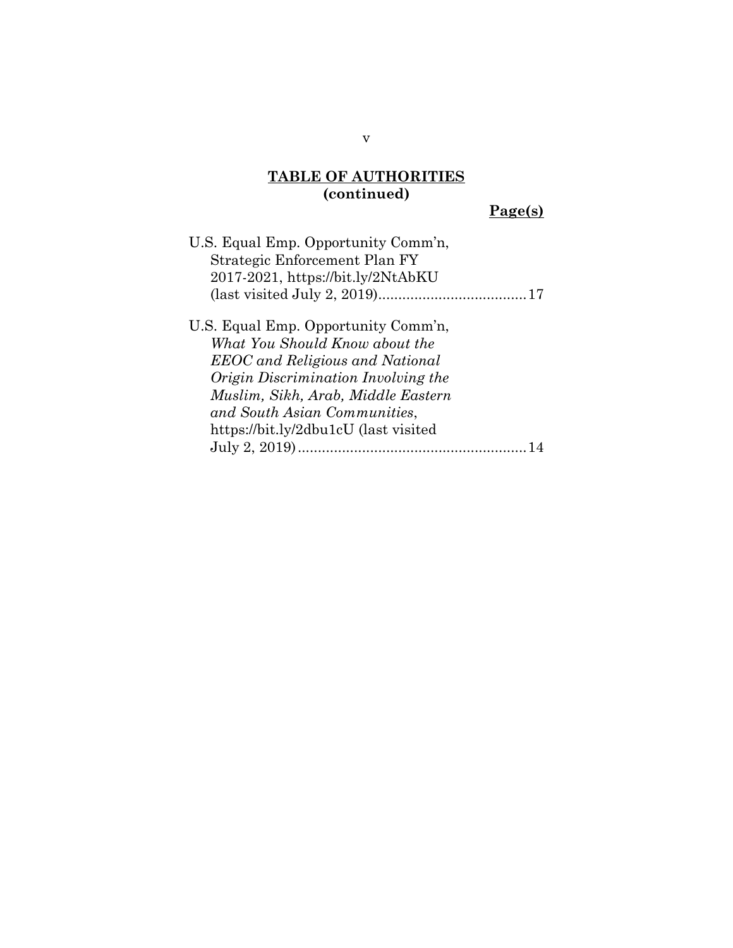#### **TABLE OF AUTHORITIES (continued)**

# **Page(s)**

v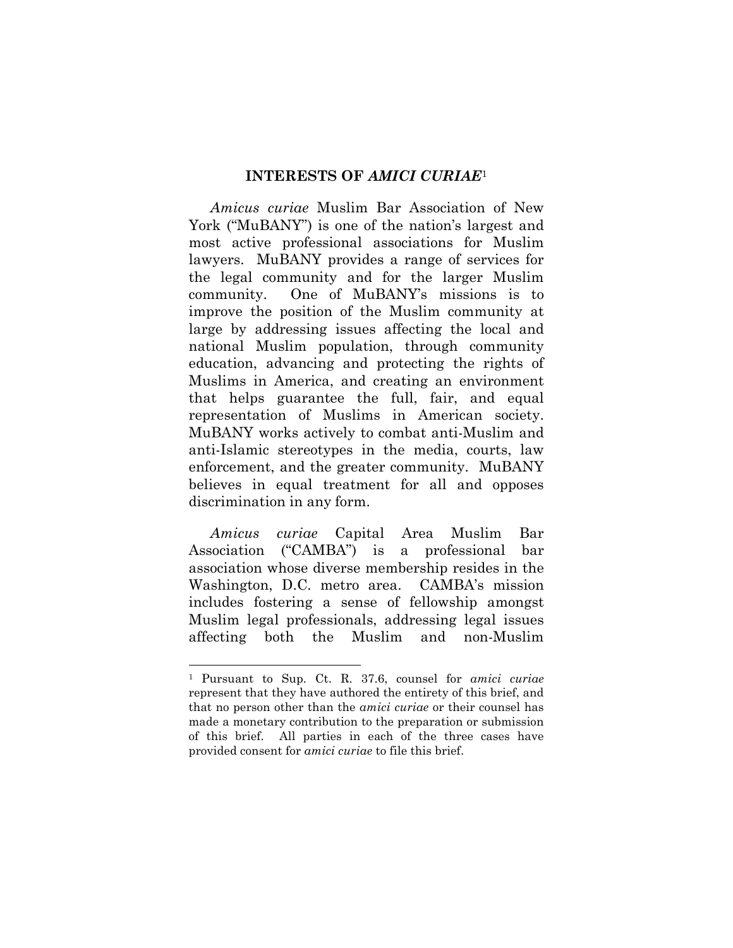#### **INTERESTS OF** *AMICI CURIAE*<sup>1</sup>

*Amicus curiae* Muslim Bar Association of New York ("MuBANY") is one of the nation's largest and most active professional associations for Muslim lawyers. MuBANY provides a range of services for the legal community and for the larger Muslim community. One of MuBANY's missions is to improve the position of the Muslim community at large by addressing issues affecting the local and national Muslim population, through community education, advancing and protecting the rights of Muslims in America, and creating an environment that helps guarantee the full, fair, and equal representation of Muslims in American society. MuBANY works actively to combat anti-Muslim and anti-Islamic stereotypes in the media, courts, law enforcement, and the greater community. MuBANY believes in equal treatment for all and opposes discrimination in any form.

*Amicus curiae* Capital Area Muslim Bar Association ("CAMBA") is a professional bar association whose diverse membership resides in the Washington, D.C. metro area. CAMBA's mission includes fostering a sense of fellowship amongst Muslim legal professionals, addressing legal issues affecting both the Muslim and non-Muslim

<sup>1</sup> Pursuant to Sup. Ct. R. 37.6, counsel for *amici curiae* represent that they have authored the entirety of this brief, and that no person other than the *amici curiae* or their counsel has made a monetary contribution to the preparation or submission of this brief. All parties in each of the three cases have provided consent for *amici curiae* to file this brief.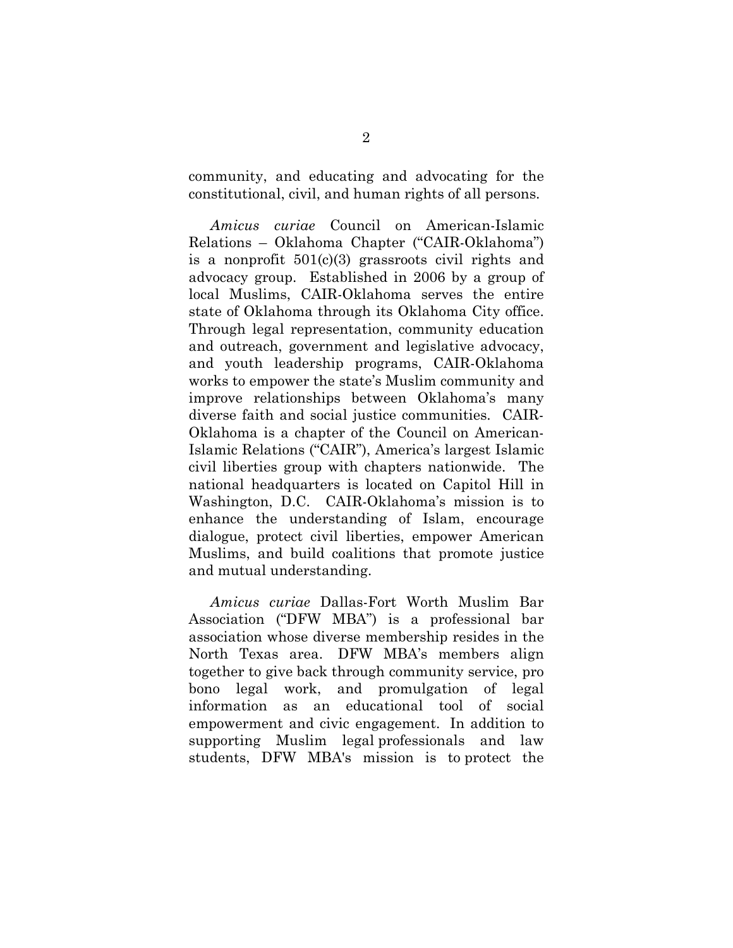community, and educating and advocating for the constitutional, civil, and human rights of all persons.

*Amicus curiae* Council on American-Islamic Relations – Oklahoma Chapter ("CAIR-Oklahoma") is a nonprofit 501(c)(3) grassroots civil rights and advocacy group. Established in 2006 by a group of local Muslims, CAIR-Oklahoma serves the entire state of Oklahoma through its Oklahoma City office. Through legal representation, community education and outreach, government and legislative advocacy, and youth leadership programs, CAIR-Oklahoma works to empower the state's Muslim community and improve relationships between Oklahoma's many diverse faith and social justice communities. CAIR-Oklahoma is a chapter of the Council on American-Islamic Relations ("CAIR"), America's largest Islamic civil liberties group with chapters nationwide. The national headquarters is located on Capitol Hill in Washington, D.C. CAIR-Oklahoma's mission is to enhance the understanding of Islam, encourage dialogue, protect civil liberties, empower American Muslims, and build coalitions that promote justice and mutual understanding.

*Amicus curiae* Dallas-Fort Worth Muslim Bar Association ("DFW MBA") is a professional bar association whose diverse membership resides in the North Texas area. DFW MBA's members align together to give back through community service, pro bono legal work, and promulgation of legal information as an educational tool of social empowerment and civic engagement. In addition to supporting Muslim legal professionals and law students, DFW MBA's mission is to protect the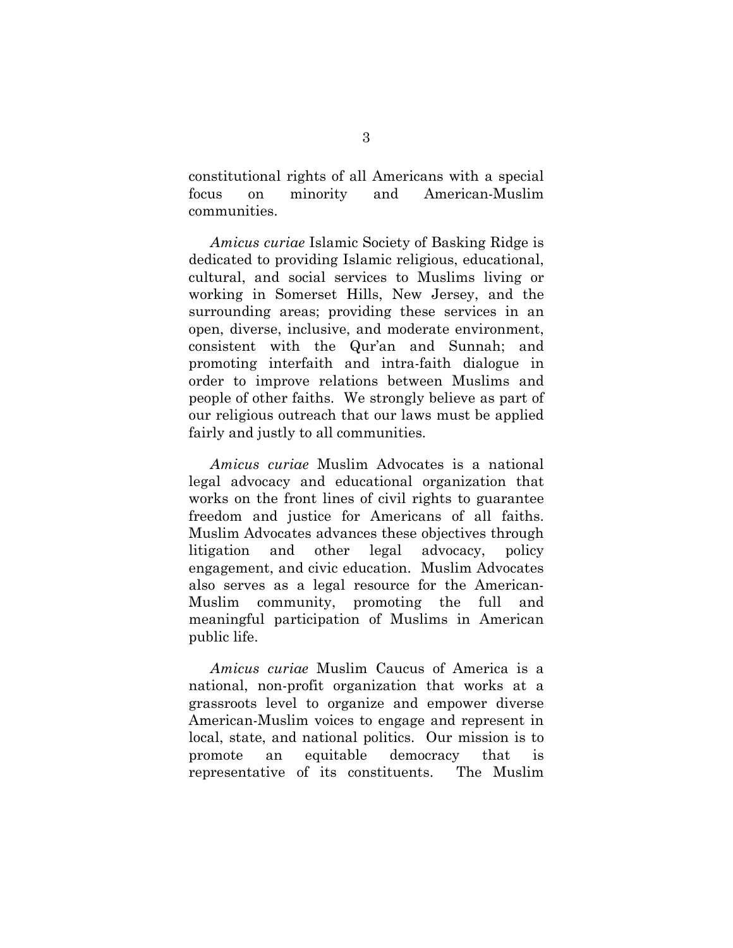constitutional rights of all Americans with a special focus on minority and American-Muslim communities.

*Amicus curiae* Islamic Society of Basking Ridge is dedicated to providing Islamic religious, educational, cultural, and social services to Muslims living or working in Somerset Hills, New Jersey, and the surrounding areas; providing these services in an open, diverse, inclusive, and moderate environment, consistent with the Qur'an and Sunnah; and promoting interfaith and intra-faith dialogue in order to improve relations between Muslims and people of other faiths. We strongly believe as part of our religious outreach that our laws must be applied fairly and justly to all communities.

*Amicus curiae* Muslim Advocates is a national legal advocacy and educational organization that works on the front lines of civil rights to guarantee freedom and justice for Americans of all faiths. Muslim Advocates advances these objectives through litigation and other legal advocacy, policy engagement, and civic education. Muslim Advocates also serves as a legal resource for the American-Muslim community, promoting the full and meaningful participation of Muslims in American public life.

*Amicus curiae* Muslim Caucus of America is a national, non-profit organization that works at a grassroots level to organize and empower diverse American-Muslim voices to engage and represent in local, state, and national politics. Our mission is to promote an equitable democracy that is representative of its constituents. The Muslim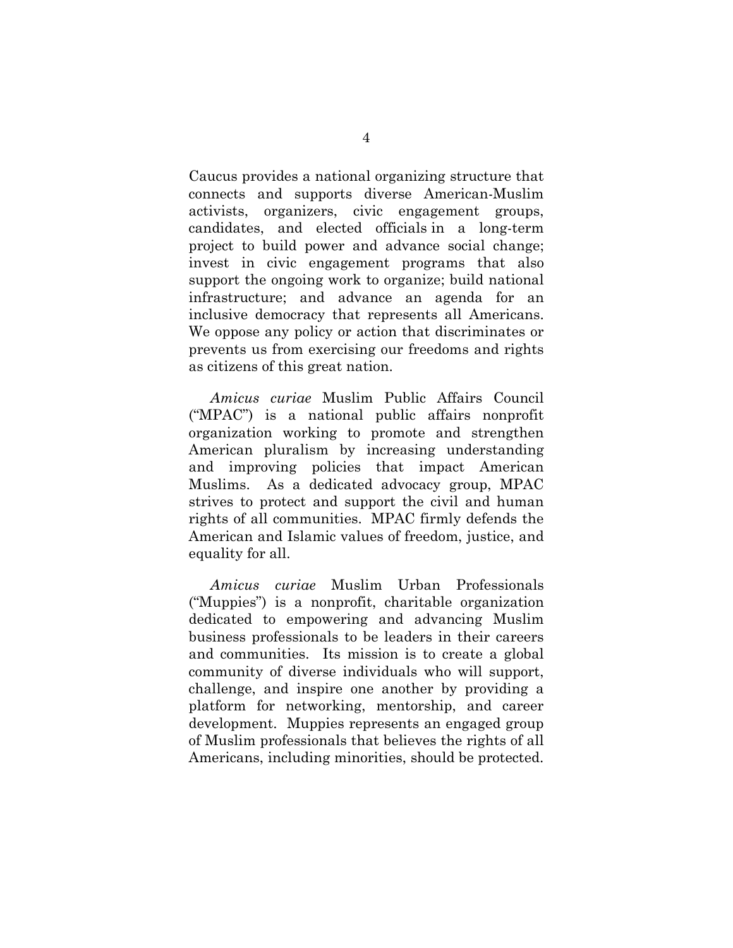Caucus provides a national organizing structure that connects and supports diverse American-Muslim activists, organizers, civic engagement groups, candidates, and elected officials in a long-term project to build power and advance social change; invest in civic engagement programs that also support the ongoing work to organize; build national infrastructure; and advance an agenda for an inclusive democracy that represents all Americans. We oppose any policy or action that discriminates or prevents us from exercising our freedoms and rights as citizens of this great nation.

*Amicus curiae* Muslim Public Affairs Council ("MPAC") is a national public affairs nonprofit organization working to promote and strengthen American pluralism by increasing understanding and improving policies that impact American Muslims. As a dedicated advocacy group, MPAC strives to protect and support the civil and human rights of all communities. MPAC firmly defends the American and Islamic values of freedom, justice, and equality for all.

*Amicus curiae* Muslim Urban Professionals ("Muppies") is a nonprofit, charitable organization dedicated to empowering and advancing Muslim business professionals to be leaders in their careers and communities. Its mission is to create a global community of diverse individuals who will support, challenge, and inspire one another by providing a platform for networking, mentorship, and career development. Muppies represents an engaged group of Muslim professionals that believes the rights of all Americans, including minorities, should be protected.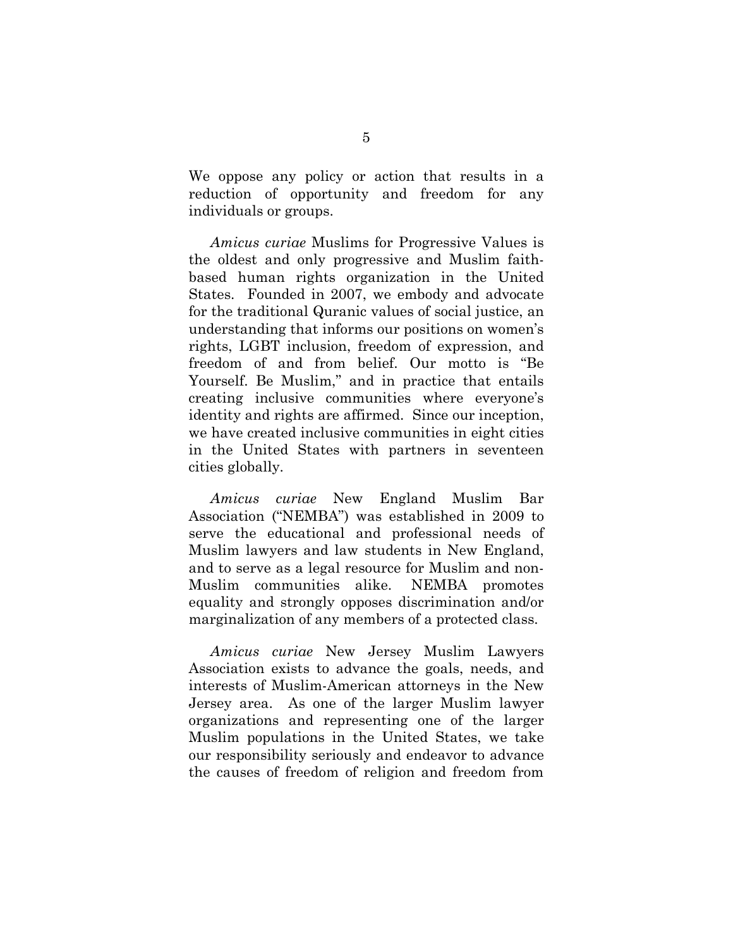We oppose any policy or action that results in a reduction of opportunity and freedom for any individuals or groups.

*Amicus curiae* Muslims for Progressive Values is the oldest and only progressive and Muslim faithbased human rights organization in the United States. Founded in 2007, we embody and advocate for the traditional Quranic values of social justice, an understanding that informs our positions on women's rights, LGBT inclusion, freedom of expression, and freedom of and from belief. Our motto is "Be Yourself. Be Muslim," and in practice that entails creating inclusive communities where everyone's identity and rights are affirmed. Since our inception, we have created inclusive communities in eight cities in the United States with partners in seventeen cities globally.

*Amicus curiae* New England Muslim Bar Association ("NEMBA") was established in 2009 to serve the educational and professional needs of Muslim lawyers and law students in New England, and to serve as a legal resource for Muslim and non-Muslim communities alike. NEMBA promotes equality and strongly opposes discrimination and/or marginalization of any members of a protected class.

*Amicus curiae* New Jersey Muslim Lawyers Association exists to advance the goals, needs, and interests of Muslim-American attorneys in the New Jersey area. As one of the larger Muslim lawyer organizations and representing one of the larger Muslim populations in the United States, we take our responsibility seriously and endeavor to advance the causes of freedom of religion and freedom from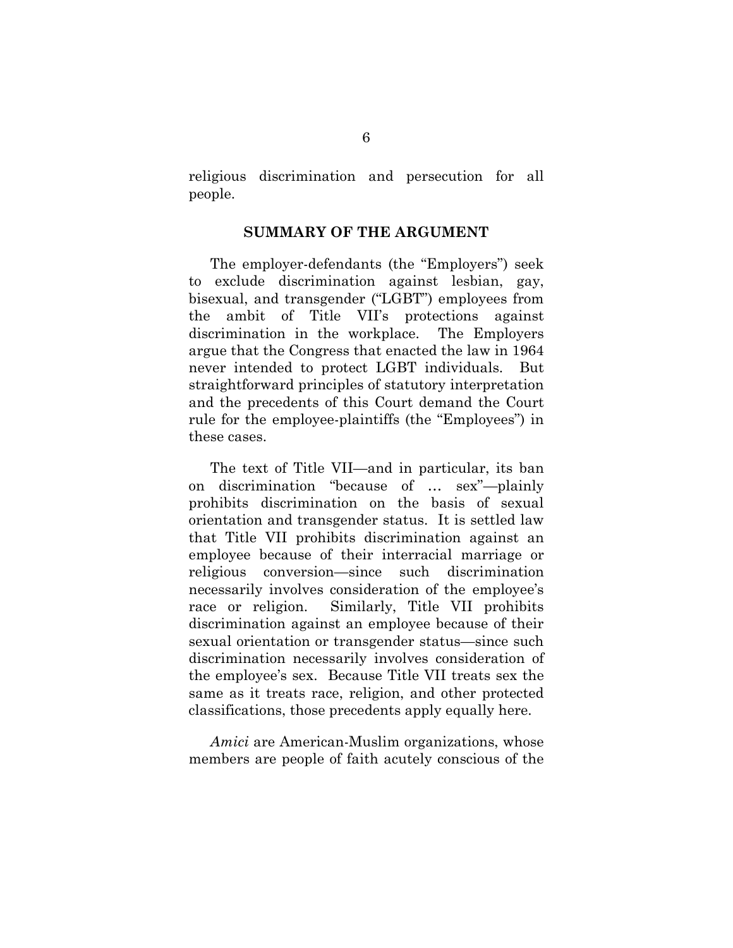religious discrimination and persecution for all people.

#### **SUMMARY OF THE ARGUMENT**

The employer-defendants (the "Employers") seek to exclude discrimination against lesbian, gay, bisexual, and transgender ("LGBT") employees from the ambit of Title VII's protections against discrimination in the workplace. The Employers argue that the Congress that enacted the law in 1964 never intended to protect LGBT individuals. But straightforward principles of statutory interpretation and the precedents of this Court demand the Court rule for the employee-plaintiffs (the "Employees") in these cases.

The text of Title VII—and in particular, its ban on discrimination "because of … sex"—plainly prohibits discrimination on the basis of sexual orientation and transgender status. It is settled law that Title VII prohibits discrimination against an employee because of their interracial marriage or religious conversion—since such discrimination necessarily involves consideration of the employee's race or religion. Similarly, Title VII prohibits discrimination against an employee because of their sexual orientation or transgender status—since such discrimination necessarily involves consideration of the employee's sex. Because Title VII treats sex the same as it treats race, religion, and other protected classifications, those precedents apply equally here.

*Amici* are American-Muslim organizations, whose members are people of faith acutely conscious of the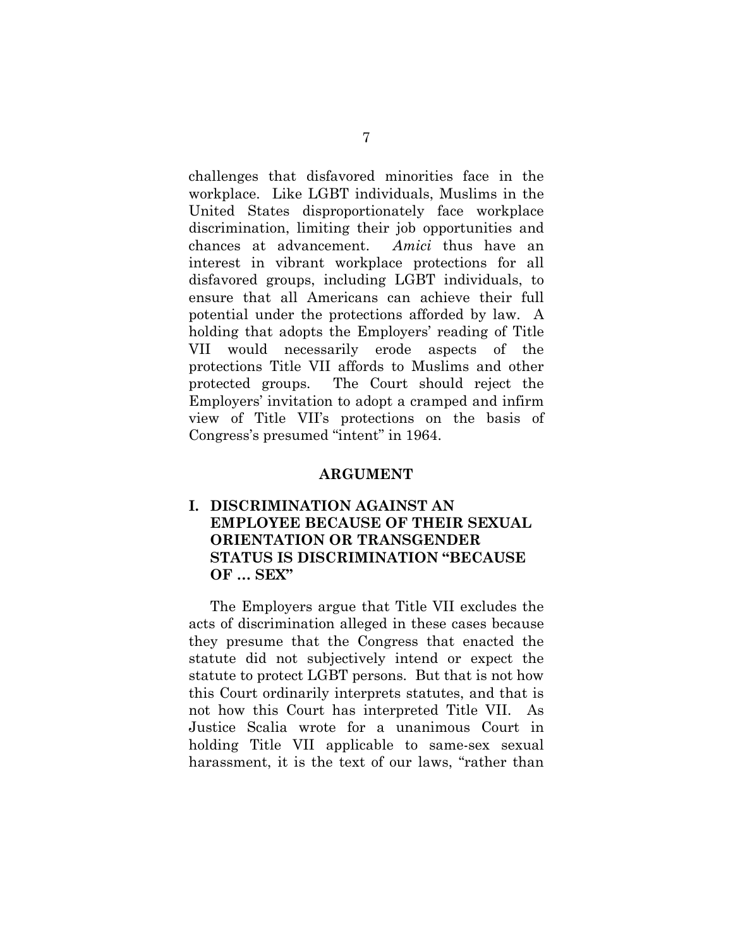challenges that disfavored minorities face in the workplace. Like LGBT individuals, Muslims in the United States disproportionately face workplace discrimination, limiting their job opportunities and chances at advancement. *Amici* thus have an interest in vibrant workplace protections for all disfavored groups, including LGBT individuals, to ensure that all Americans can achieve their full potential under the protections afforded by law. A holding that adopts the Employers' reading of Title VII would necessarily erode aspects of the protections Title VII affords to Muslims and other protected groups. The Court should reject the Employers' invitation to adopt a cramped and infirm view of Title VII's protections on the basis of Congress's presumed "intent" in 1964.

#### **ARGUMENT**

### **I. DISCRIMINATION AGAINST AN EMPLOYEE BECAUSE OF THEIR SEXUAL ORIENTATION OR TRANSGENDER STATUS IS DISCRIMINATION "BECAUSE OF … SEX"**

The Employers argue that Title VII excludes the acts of discrimination alleged in these cases because they presume that the Congress that enacted the statute did not subjectively intend or expect the statute to protect LGBT persons. But that is not how this Court ordinarily interprets statutes, and that is not how this Court has interpreted Title VII. As Justice Scalia wrote for a unanimous Court in holding Title VII applicable to same-sex sexual harassment, it is the text of our laws, "rather than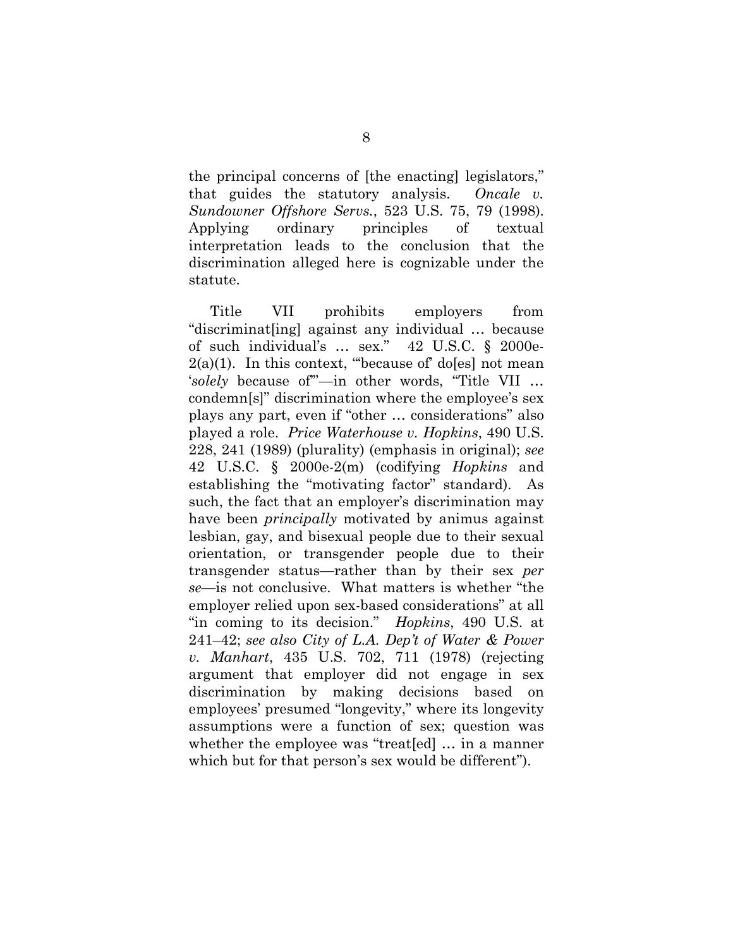the principal concerns of [the enacting] legislators," that guides the statutory analysis. *Oncale v. Sundowner Offshore Servs.*, 523 U.S. 75, 79 (1998). Applying ordinary principles of textual interpretation leads to the conclusion that the discrimination alleged here is cognizable under the statute.

Title VII prohibits employers from "discriminat[ing] against any individual … because of such individual's … sex." 42 U.S.C. § 2000e- $2(a)(1)$ . In this context, "because of do[es] not mean '*solely* because of'"—in other words, "Title VII … condemn[s]" discrimination where the employee's sex plays any part, even if "other … considerations" also played a role. *Price Waterhouse v. Hopkins*, 490 U.S. 228, 241 (1989) (plurality) (emphasis in original); *see* 42 U.S.C. § 2000e-2(m) (codifying *Hopkins* and establishing the "motivating factor" standard). As such, the fact that an employer's discrimination may have been *principally* motivated by animus against lesbian, gay, and bisexual people due to their sexual orientation, or transgender people due to their transgender status—rather than by their sex *per se*—is not conclusive. What matters is whether "the employer relied upon sex-based considerations" at all "in coming to its decision." *Hopkins*, 490 U.S. at 241–42; *see also City of L.A. Dep't of Water & Power v. Manhart*, 435 U.S. 702, 711 (1978) (rejecting argument that employer did not engage in sex discrimination by making decisions based on employees' presumed "longevity," where its longevity assumptions were a function of sex; question was whether the employee was "treat [ed] ... in a manner which but for that person's sex would be different").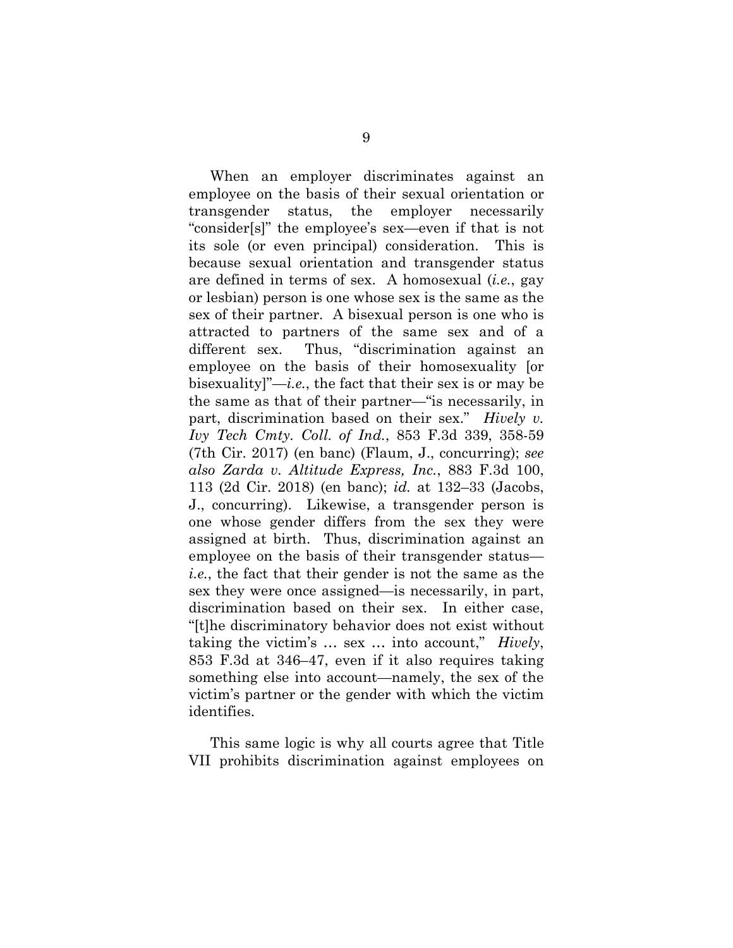When an employer discriminates against an employee on the basis of their sexual orientation or transgender status, the employer necessarily "consider[s]" the employee's sex—even if that is not its sole (or even principal) consideration. This is because sexual orientation and transgender status are defined in terms of sex. A homosexual (*i.e.*, gay or lesbian) person is one whose sex is the same as the sex of their partner. A bisexual person is one who is attracted to partners of the same sex and of a different sex. Thus, "discrimination against an employee on the basis of their homosexuality [or bisexuality]"—*i.e.*, the fact that their sex is or may be the same as that of their partner—"is necessarily, in part, discrimination based on their sex." *Hively v. Ivy Tech Cmty. Coll. of Ind.*, 853 F.3d 339, 358-59 (7th Cir. 2017) (en banc) (Flaum, J., concurring); *see also Zarda v. Altitude Express, Inc.*, 883 F.3d 100, 113 (2d Cir. 2018) (en banc); *id.* at 132–33 (Jacobs, J., concurring). Likewise, a transgender person is one whose gender differs from the sex they were assigned at birth. Thus, discrimination against an employee on the basis of their transgender status *i.e.*, the fact that their gender is not the same as the sex they were once assigned—is necessarily, in part, discrimination based on their sex. In either case, "[t]he discriminatory behavior does not exist without taking the victim's … sex … into account," *Hively*, 853 F.3d at 346–47, even if it also requires taking something else into account—namely, the sex of the victim's partner or the gender with which the victim identifies.

This same logic is why all courts agree that Title VII prohibits discrimination against employees on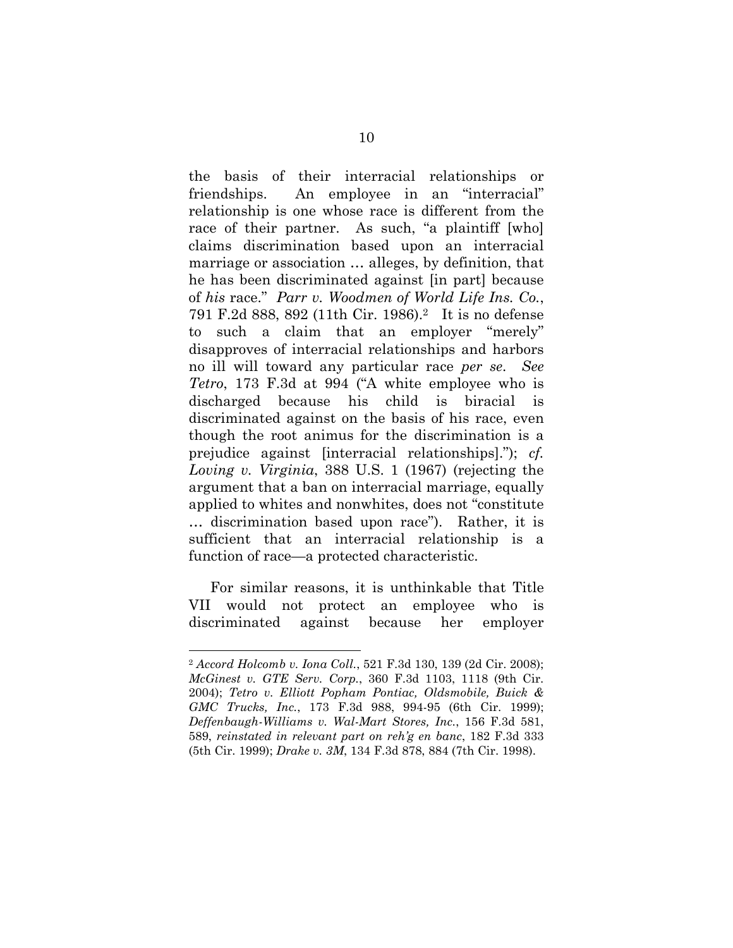the basis of their interracial relationships or friendships. An employee in an "interracial" relationship is one whose race is different from the race of their partner. As such, "a plaintiff [who] claims discrimination based upon an interracial marriage or association … alleges, by definition, that he has been discriminated against [in part] because of *his* race." *Parr v. Woodmen of World Life Ins. Co.*, 791 F.2d 888, 892 (11th Cir. 1986).<sup>2</sup> It is no defense to such a claim that an employer "merely" disapproves of interracial relationships and harbors no ill will toward any particular race *per se*. *See Tetro*, 173 F.3d at 994 ("A white employee who is discharged because his child is biracial is discriminated against on the basis of his race, even though the root animus for the discrimination is a prejudice against [interracial relationships]."); *cf. Loving v. Virginia*, 388 U.S. 1 (1967) (rejecting the argument that a ban on interracial marriage, equally applied to whites and nonwhites, does not "constitute … discrimination based upon race"). Rather, it is sufficient that an interracial relationship is a function of race—a protected characteristic.

For similar reasons, it is unthinkable that Title VII would not protect an employee who is discriminated against because her employer

<sup>2</sup> *Accord Holcomb v. Iona Coll.*, 521 F.3d 130, 139 (2d Cir. 2008); *McGinest v. GTE Serv. Corp.*, 360 F.3d 1103, 1118 (9th Cir. 2004); *Tetro v. Elliott Popham Pontiac, Oldsmobile, Buick & GMC Trucks, Inc.*, 173 F.3d 988, 994-95 (6th Cir. 1999); *Deffenbaugh-Williams v. Wal-Mart Stores, Inc.*, 156 F.3d 581, 589, *reinstated in relevant part on reh'g en banc*, 182 F.3d 333 (5th Cir. 1999); *Drake v. 3M*, 134 F.3d 878, 884 (7th Cir. 1998).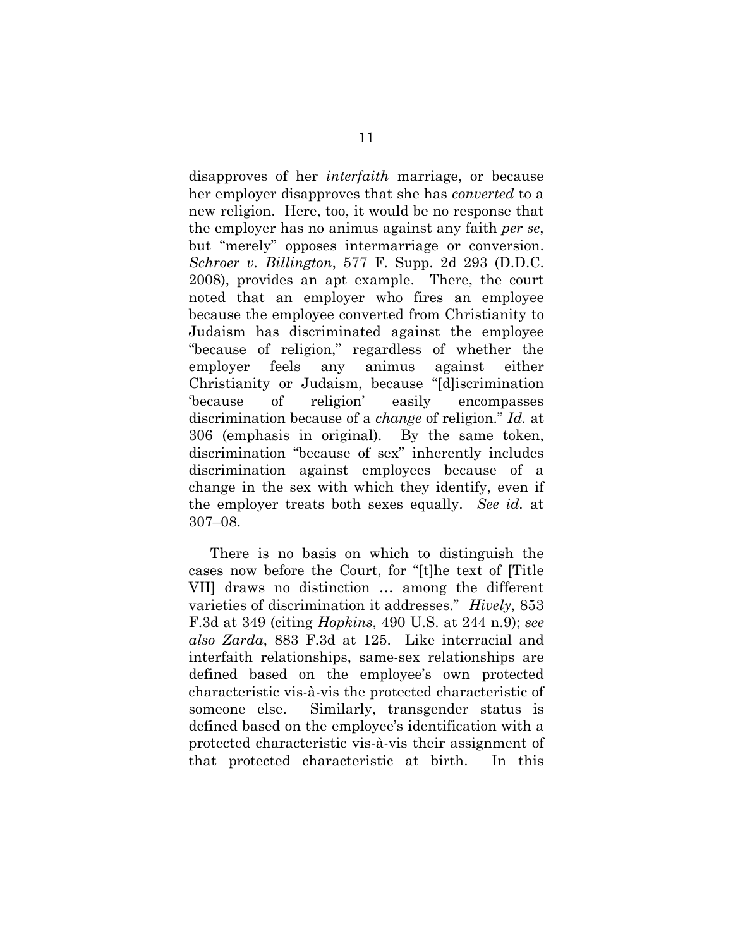disapproves of her *interfaith* marriage, or because her employer disapproves that she has *converted* to a new religion. Here, too, it would be no response that the employer has no animus against any faith *per se*, but "merely" opposes intermarriage or conversion. *Schroer v. Billington*, 577 F. Supp. 2d 293 (D.D.C. 2008), provides an apt example. There, the court noted that an employer who fires an employee because the employee converted from Christianity to Judaism has discriminated against the employee "because of religion," regardless of whether the employer feels any animus against either Christianity or Judaism, because "[d]iscrimination 'because of religion' easily encompasses discrimination because of a *change* of religion." *Id.* at 306 (emphasis in original). By the same token, discrimination "because of sex" inherently includes discrimination against employees because of a change in the sex with which they identify, even if the employer treats both sexes equally. *See id.* at 307–08.

There is no basis on which to distinguish the cases now before the Court, for "[t]he text of [Title VII] draws no distinction … among the different varieties of discrimination it addresses." *Hively*, 853 F.3d at 349 (citing *Hopkins*, 490 U.S. at 244 n.9); *see also Zarda*, 883 F.3d at 125. Like interracial and interfaith relationships, same-sex relationships are defined based on the employee's own protected characteristic vis-à-vis the protected characteristic of someone else. Similarly, transgender status is defined based on the employee's identification with a protected characteristic vis-à-vis their assignment of that protected characteristic at birth. In this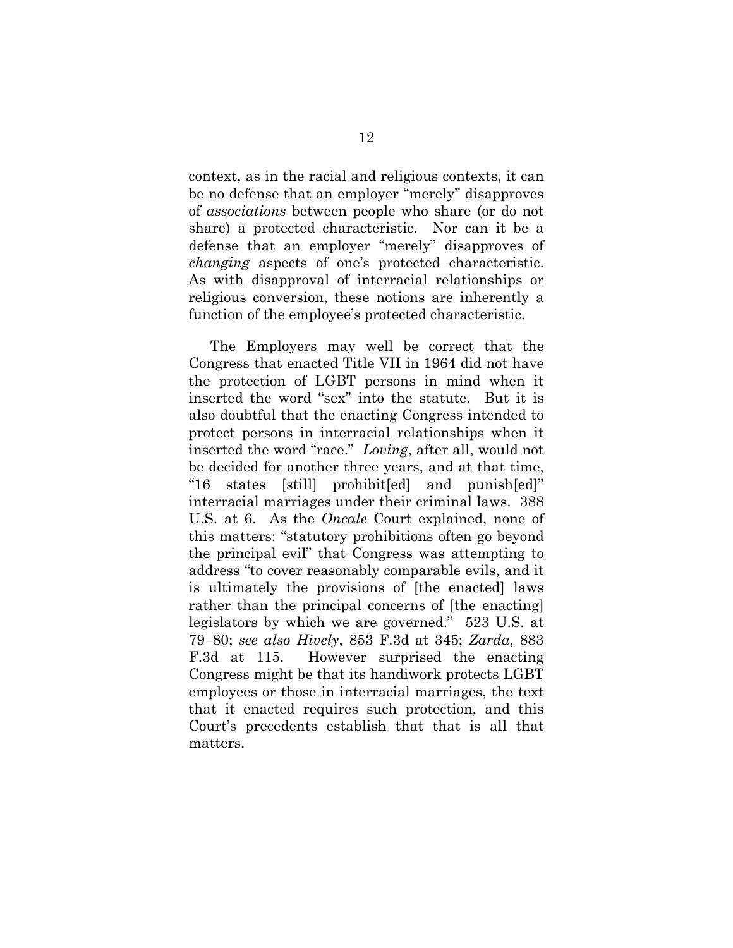context, as in the racial and religious contexts, it can be no defense that an employer "merely" disapproves of *associations* between people who share (or do not share) a protected characteristic. Nor can it be a defense that an employer "merely" disapproves of *changing* aspects of one's protected characteristic. As with disapproval of interracial relationships or religious conversion, these notions are inherently a function of the employee's protected characteristic.

The Employers may well be correct that the Congress that enacted Title VII in 1964 did not have the protection of LGBT persons in mind when it inserted the word "sex" into the statute. But it is also doubtful that the enacting Congress intended to protect persons in interracial relationships when it inserted the word "race." *Loving*, after all, would not be decided for another three years, and at that time, "16 states [still] prohibit[ed] and punish[ed]" interracial marriages under their criminal laws. 388 U.S. at 6. As the *Oncale* Court explained, none of this matters: "statutory prohibitions often go beyond the principal evil" that Congress was attempting to address "to cover reasonably comparable evils, and it is ultimately the provisions of [the enacted] laws rather than the principal concerns of [the enacting] legislators by which we are governed." 523 U.S. at 79–80; *see also Hively*, 853 F.3d at 345; *Zarda*, 883 F.3d at 115. However surprised the enacting Congress might be that its handiwork protects LGBT employees or those in interracial marriages, the text that it enacted requires such protection, and this Court's precedents establish that that is all that matters.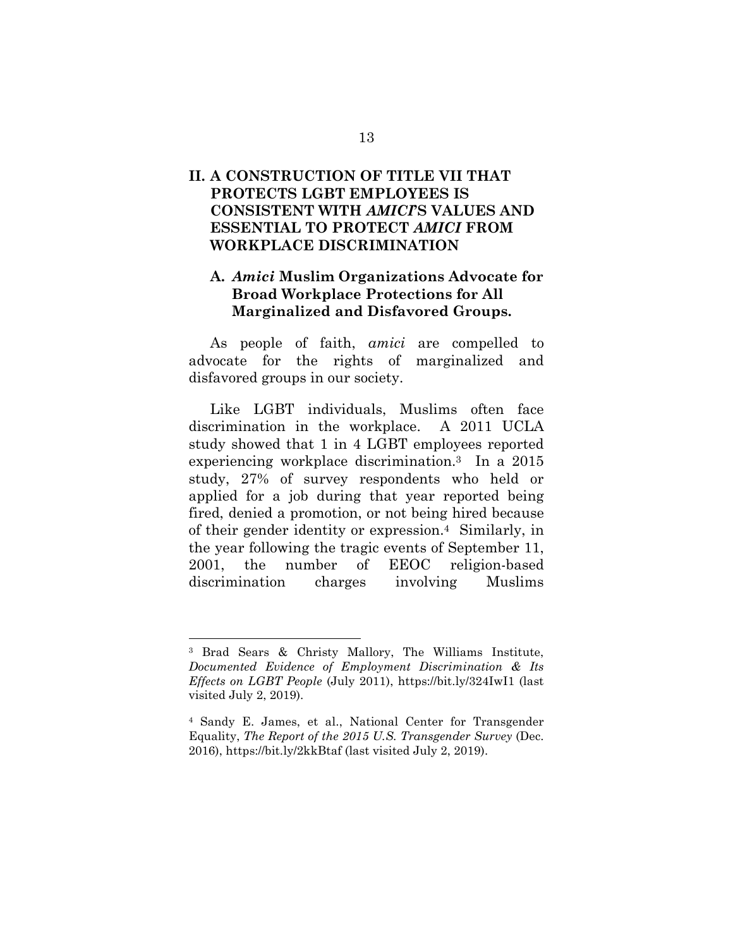## **II. A CONSTRUCTION OF TITLE VII THAT PROTECTS LGBT EMPLOYEES IS CONSISTENT WITH** *AMICI***'S VALUES AND ESSENTIAL TO PROTECT** *AMICI* **FROM WORKPLACE DISCRIMINATION**

#### **A.** *Amici* **Muslim Organizations Advocate for Broad Workplace Protections for All Marginalized and Disfavored Groups.**

As people of faith, *amici* are compelled to advocate for the rights of marginalized and disfavored groups in our society.

Like LGBT individuals, Muslims often face discrimination in the workplace. A 2011 UCLA study showed that 1 in 4 LGBT employees reported experiencing workplace discrimination.<sup>3</sup> In a 2015 study, 27% of survey respondents who held or applied for a job during that year reported being fired, denied a promotion, or not being hired because of their gender identity or expression.<sup>4</sup> Similarly, in the year following the tragic events of September 11, 2001, the number of EEOC religion-based discrimination charges involving Muslims

<sup>3</sup> Brad Sears & Christy Mallory, The Williams Institute, *Documented Evidence of Employment Discrimination & Its Effects on LGBT People* (July 2011), https://bit.ly/324IwI1 (last visited July 2, 2019).

<sup>4</sup> Sandy E. James, et al., National Center for Transgender Equality, *The Report of the 2015 U.S. Transgender Survey* (Dec. 2016), https://bit.ly/2kkBtaf (last visited July 2, 2019).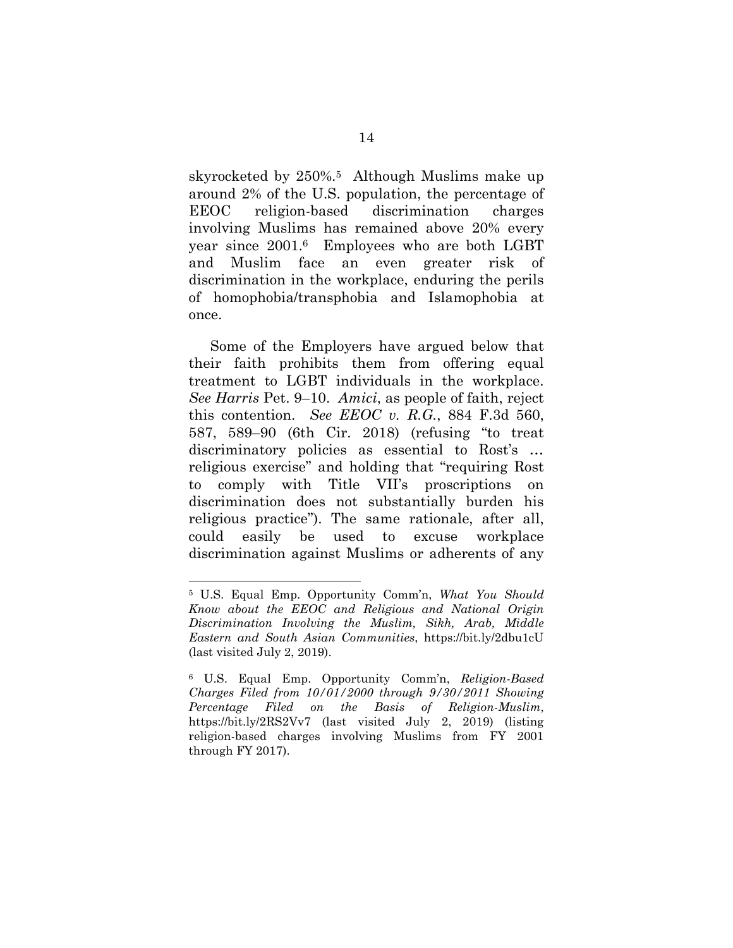skyrocketed by 250%.<sup>5</sup> Although Muslims make up around 2% of the U.S. population, the percentage of EEOC religion-based discrimination charges involving Muslims has remained above 20% every year since 2001.<sup>6</sup> Employees who are both LGBT and Muslim face an even greater risk of discrimination in the workplace, enduring the perils of homophobia/transphobia and Islamophobia at once.

Some of the Employers have argued below that their faith prohibits them from offering equal treatment to LGBT individuals in the workplace. *See Harris* Pet. 9–10. *Amici*, as people of faith, reject this contention. *See EEOC v. R.G.*, 884 F.3d 560, 587, 589–90 (6th Cir. 2018) (refusing "to treat discriminatory policies as essential to Rost's … religious exercise" and holding that "requiring Rost to comply with Title VII's proscriptions on discrimination does not substantially burden his religious practice"). The same rationale, after all, could easily be used to excuse workplace discrimination against Muslims or adherents of any

<sup>5</sup> U.S. Equal Emp. Opportunity Comm'n, *What You Should Know about the EEOC and Religious and National Origin Discrimination Involving the Muslim, Sikh, Arab, Middle Eastern and South Asian Communities*, https://bit.ly/2dbu1cU (last visited July 2, 2019).

<sup>6</sup> U.S. Equal Emp. Opportunity Comm'n, *Religion-Based Charges Filed from 10/01/2000 through 9/30/2011 Showing Percentage Filed on the Basis of Religion-Muslim*, https://bit.ly/2RS2Vv7 (last visited July 2, 2019) (listing religion-based charges involving Muslims from FY 2001 through FY 2017).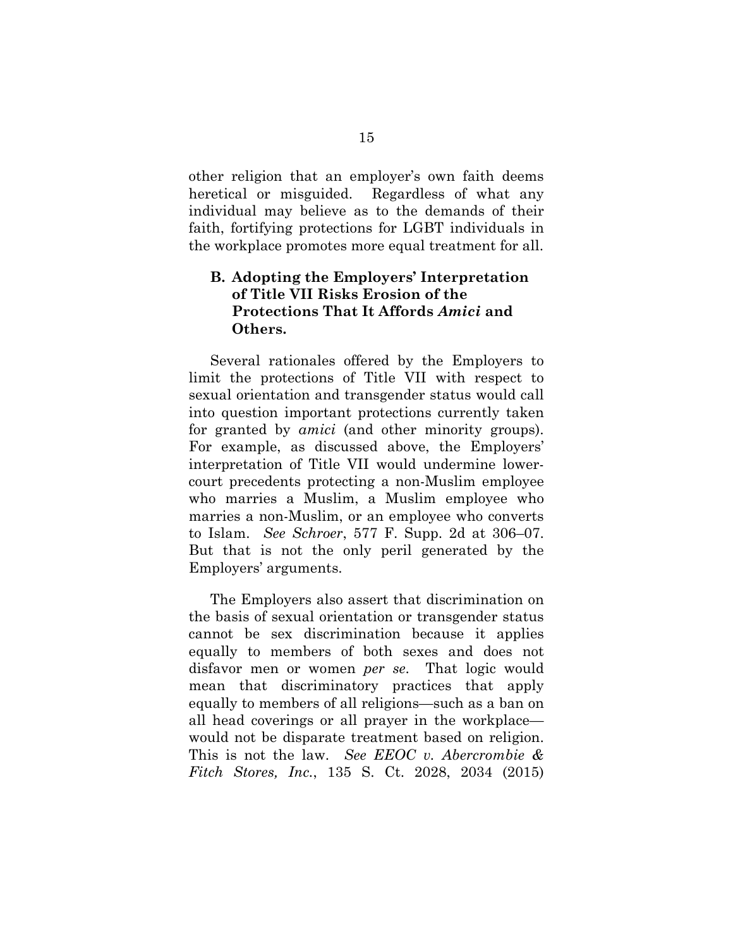other religion that an employer's own faith deems heretical or misguided. Regardless of what any individual may believe as to the demands of their faith, fortifying protections for LGBT individuals in the workplace promotes more equal treatment for all.

### **B. Adopting the Employers' Interpretation of Title VII Risks Erosion of the Protections That It Affords** *Amici* **and Others.**

Several rationales offered by the Employers to limit the protections of Title VII with respect to sexual orientation and transgender status would call into question important protections currently taken for granted by *amici* (and other minority groups). For example, as discussed above, the Employers' interpretation of Title VII would undermine lowercourt precedents protecting a non-Muslim employee who marries a Muslim, a Muslim employee who marries a non-Muslim, or an employee who converts to Islam. *See Schroer*, 577 F. Supp. 2d at 306–07. But that is not the only peril generated by the Employers' arguments.

The Employers also assert that discrimination on the basis of sexual orientation or transgender status cannot be sex discrimination because it applies equally to members of both sexes and does not disfavor men or women *per se*. That logic would mean that discriminatory practices that apply equally to members of all religions—such as a ban on all head coverings or all prayer in the workplace would not be disparate treatment based on religion. This is not the law. *See EEOC v. Abercrombie & Fitch Stores, Inc.*, 135 S. Ct. 2028, 2034 (2015)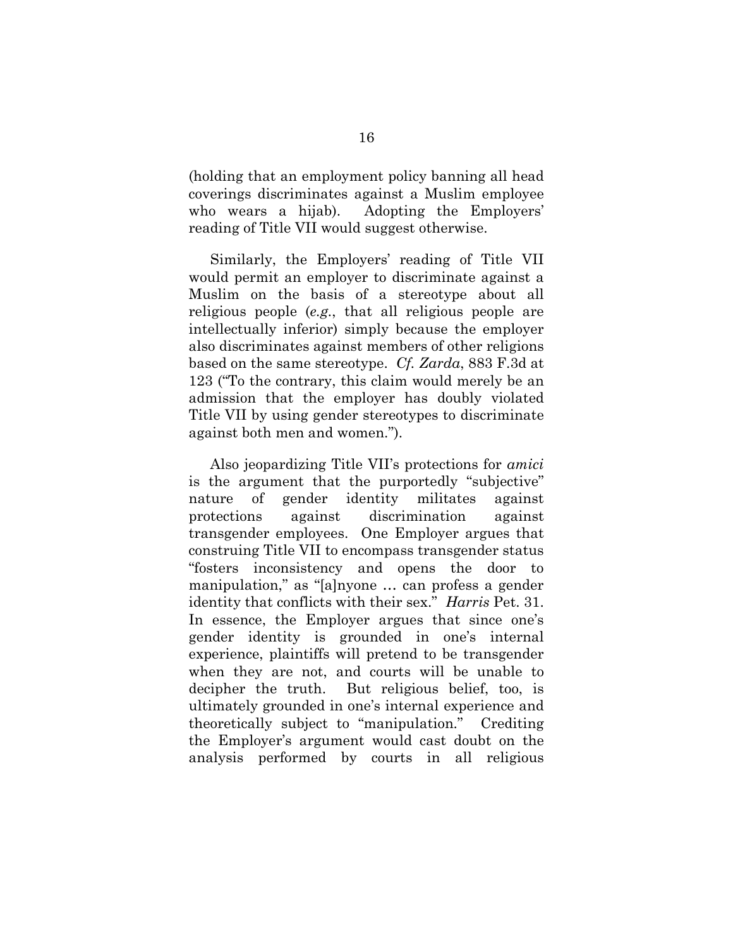(holding that an employment policy banning all head coverings discriminates against a Muslim employee who wears a hijab). Adopting the Employers' reading of Title VII would suggest otherwise.

Similarly, the Employers' reading of Title VII would permit an employer to discriminate against a Muslim on the basis of a stereotype about all religious people (*e.g.*, that all religious people are intellectually inferior) simply because the employer also discriminates against members of other religions based on the same stereotype. *Cf. Zarda*, 883 F.3d at 123 ("To the contrary, this claim would merely be an admission that the employer has doubly violated Title VII by using gender stereotypes to discriminate against both men and women.").

Also jeopardizing Title VII's protections for *amici* is the argument that the purportedly "subjective" nature of gender identity militates against protections against discrimination against transgender employees. One Employer argues that construing Title VII to encompass transgender status "fosters inconsistency and opens the door to manipulation," as "[a]nyone … can profess a gender identity that conflicts with their sex." *Harris* Pet. 31. In essence, the Employer argues that since one's gender identity is grounded in one's internal experience, plaintiffs will pretend to be transgender when they are not, and courts will be unable to decipher the truth. But religious belief, too, is ultimately grounded in one's internal experience and theoretically subject to "manipulation." Crediting the Employer's argument would cast doubt on the analysis performed by courts in all religious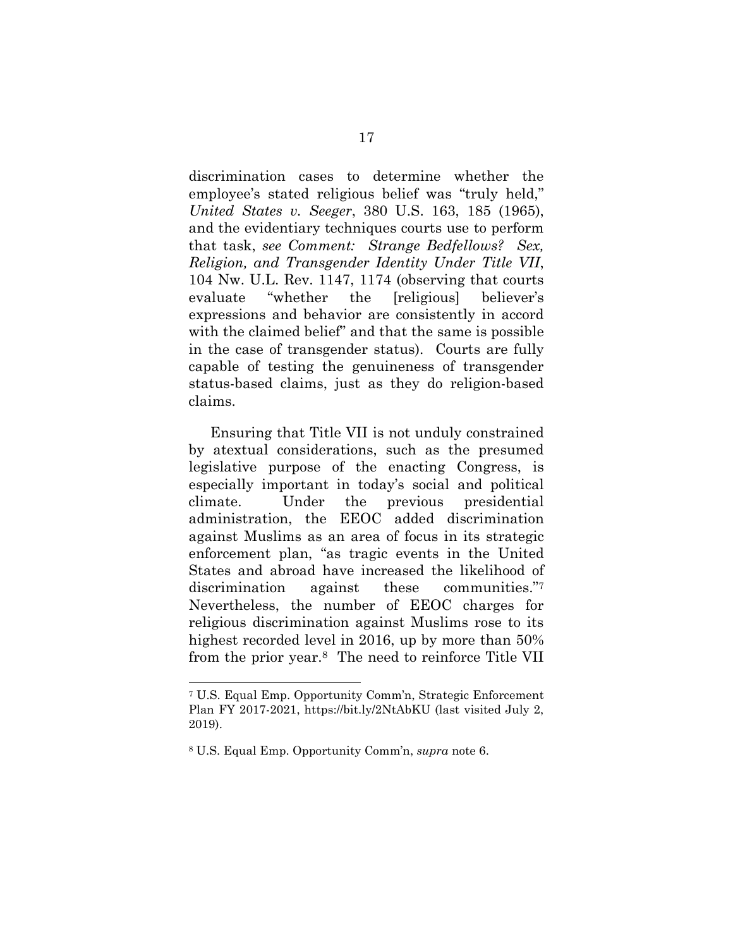discrimination cases to determine whether the employee's stated religious belief was "truly held," *United States v. Seeger*, 380 U.S. 163, 185 (1965), and the evidentiary techniques courts use to perform that task, *see Comment: Strange Bedfellows? Sex, Religion, and Transgender Identity Under Title VII*, 104 Nw. U.L. Rev. 1147, 1174 (observing that courts evaluate "whether the [religious] believer's expressions and behavior are consistently in accord with the claimed belief" and that the same is possible in the case of transgender status). Courts are fully capable of testing the genuineness of transgender status-based claims, just as they do religion-based claims.

Ensuring that Title VII is not unduly constrained by atextual considerations, such as the presumed legislative purpose of the enacting Congress, is especially important in today's social and political climate. Under the previous presidential administration, the EEOC added discrimination against Muslims as an area of focus in its strategic enforcement plan, "as tragic events in the United States and abroad have increased the likelihood of discrimination against these communities."<sup>7</sup> Nevertheless, the number of EEOC charges for religious discrimination against Muslims rose to its highest recorded level in 2016, up by more than 50% from the prior year.<sup>8</sup> The need to reinforce Title VII

<sup>7</sup> U.S. Equal Emp. Opportunity Comm'n, Strategic Enforcement Plan FY 2017-2021, https://bit.ly/2NtAbKU (last visited July 2, 2019).

<sup>8</sup> U.S. Equal Emp. Opportunity Comm'n, *supra* note 6.